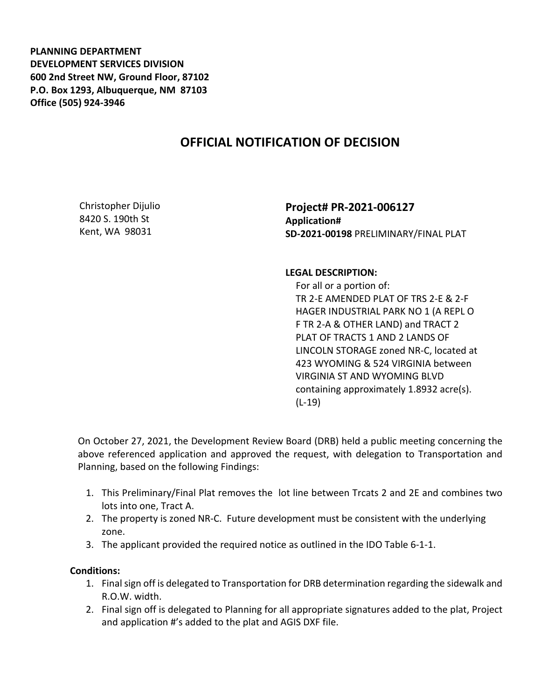**PLANNING DEPARTMENT DEVELOPMENT SERVICES DIVISION 600 2nd Street NW, Ground Floor, 87102 P.O. Box 1293, Albuquerque, NM 87103 Office (505) 924-3946** 

## **OFFICIAL NOTIFICATION OF DECISION**

Christopher Dijulio 8420 S. 190th St Kent, WA 98031

**Project# PR-2021-006127 Application# SD-2021-00198** PRELIMINARY/FINAL PLAT

## **LEGAL DESCRIPTION:**

 For all or a portion of: TR 2-E AMENDED PLAT OF TRS 2-E & 2-F HAGER INDUSTRIAL PARK NO 1 (A REPL O F TR 2-A & OTHER LAND) and TRACT 2 PLAT OF TRACTS 1 AND 2 LANDS OF LINCOLN STORAGE zoned NR-C, located at 423 WYOMING & 524 VIRGINIA between VIRGINIA ST AND WYOMING BLVD containing approximately 1.8932 acre(s). (L-19)

On October 27, 2021, the Development Review Board (DRB) held a public meeting concerning the above referenced application and approved the request, with delegation to Transportation and Planning, based on the following Findings:

- 1. This Preliminary/Final Plat removes the lot line between Trcats 2 and 2E and combines two lots into one, Tract A.
- 2. The property is zoned NR-C. Future development must be consistent with the underlying zone.
- 3. The applicant provided the required notice as outlined in the IDO Table 6-1-1.

## **Conditions:**

- 1. Final sign off is delegated to Transportation for DRB determination regarding the sidewalk and R.O.W. width.
- 2. Final sign off is delegated to Planning for all appropriate signatures added to the plat, Project and application #'s added to the plat and AGIS DXF file.